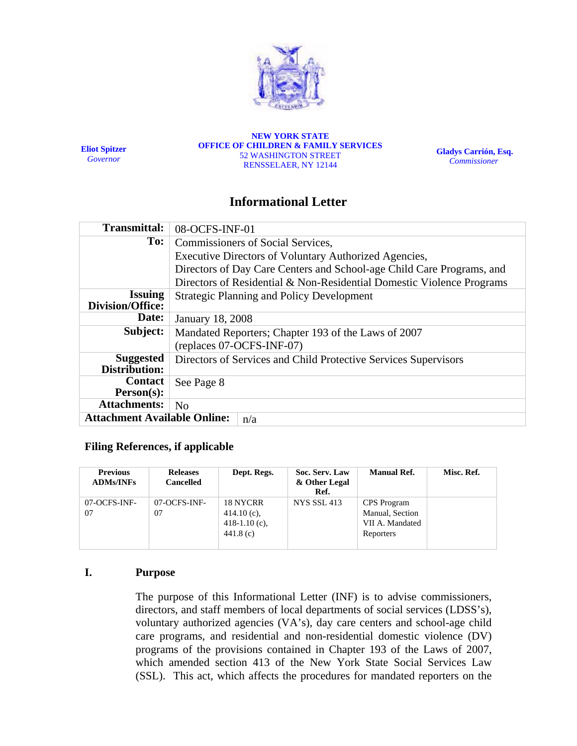

**Eliot Spitzer**  *Governor*

**NEW YORK STATE OFFICE OF CHILDREN & FAMILY SERVICES**  52 WASHINGTON STREET RENSSELAER, NY 12144

**Gladys Carrión, Esq.**   *Commissioner*

# **Informational Letter**

| <b>Transmittal:</b>                        | 08-OCFS-INF-01                                                        |  |  |  |
|--------------------------------------------|-----------------------------------------------------------------------|--|--|--|
| To:                                        | Commissioners of Social Services,                                     |  |  |  |
|                                            | Executive Directors of Voluntary Authorized Agencies,                 |  |  |  |
|                                            | Directors of Day Care Centers and School-age Child Care Programs, and |  |  |  |
|                                            | Directors of Residential & Non-Residential Domestic Violence Programs |  |  |  |
| <b>Issuing</b><br><b>Division/Office:</b>  | <b>Strategic Planning and Policy Development</b>                      |  |  |  |
| Date:                                      | <b>January 18, 2008</b>                                               |  |  |  |
| Subject:                                   | Mandated Reporters; Chapter 193 of the Laws of 2007                   |  |  |  |
|                                            | (replaces 07-OCFS-INF-07)                                             |  |  |  |
| <b>Suggested</b><br>Distribution:          | Directors of Services and Child Protective Services Supervisors       |  |  |  |
| <b>Contact</b><br>Person(s):               | See Page 8                                                            |  |  |  |
| <b>Attachments:</b>                        | N <sub>o</sub>                                                        |  |  |  |
| <b>Attachment Available Online:</b><br>n/a |                                                                       |  |  |  |

### **Filing References, if applicable**

| <b>Previous</b><br><b>ADMs/INFs</b> | <b>Releases</b><br><b>Cancelled</b> | Dept. Regs.                                               | Soc. Serv. Law<br>& Other Legal<br>Ref. | <b>Manual Ref.</b>                                             | Misc. Ref. |
|-------------------------------------|-------------------------------------|-----------------------------------------------------------|-----------------------------------------|----------------------------------------------------------------|------------|
| 07-OCFS-INF-<br>07                  | 07-OCFS-INF-<br>07                  | 18 NYCRR<br>414.10 $(c)$ ,<br>$418-1.10$ (c),<br>441.8(c) | <b>NYS SSL 413</b>                      | CPS Program<br>Manual, Section<br>VII A. Mandated<br>Reporters |            |

## **I. Purpose**

The purpose of this Informational Letter (INF) is to advise commissioners, directors, and staff members of local departments of social services (LDSS's), voluntary authorized agencies (VA's), day care centers and school-age child care programs, and residential and non-residential domestic violence (DV) programs of the provisions contained in Chapter 193 of the Laws of 2007, which amended section 413 of the New York State Social Services Law (SSL). This act, which affects the procedures for mandated reporters on the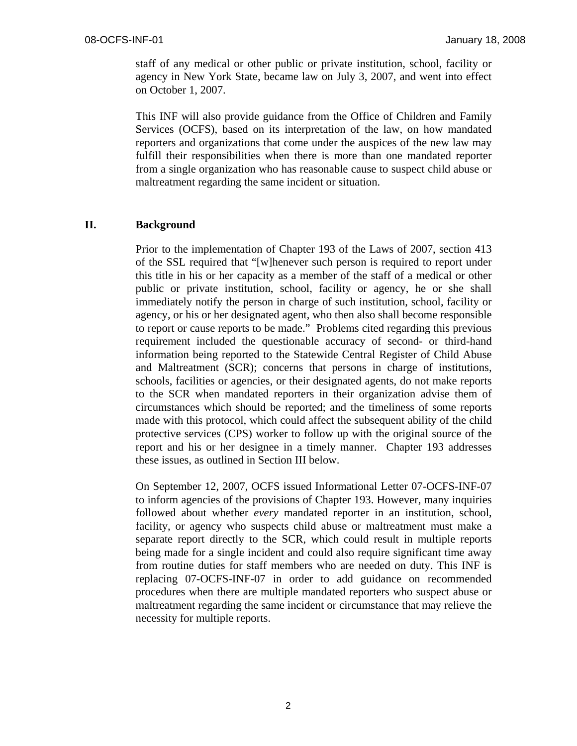staff of any medical or other public or private institution, school, facility or agency in New York State, became law on July 3, 2007, and went into effect on October 1, 2007.

This INF will also provide guidance from the Office of Children and Family Services (OCFS), based on its interpretation of the law, on how mandated reporters and organizations that come under the auspices of the new law may fulfill their responsibilities when there is more than one mandated reporter from a single organization who has reasonable cause to suspect child abuse or maltreatment regarding the same incident or situation.

#### **II. Background**

Prior to the implementation of Chapter 193 of the Laws of 2007, section 413 of the SSL required that "[w]henever such person is required to report under this title in his or her capacity as a member of the staff of a medical or other public or private institution, school, facility or agency, he or she shall immediately notify the person in charge of such institution, school, facility or agency, or his or her designated agent, who then also shall become responsible to report or cause reports to be made." Problems cited regarding this previous requirement included the questionable accuracy of second- or third-hand information being reported to the Statewide Central Register of Child Abuse and Maltreatment (SCR); concerns that persons in charge of institutions, schools, facilities or agencies, or their designated agents, do not make reports to the SCR when mandated reporters in their organization advise them of circumstances which should be reported; and the timeliness of some reports made with this protocol, which could affect the subsequent ability of the child protective services (CPS) worker to follow up with the original source of the report and his or her designee in a timely manner. Chapter 193 addresses these issues, as outlined in Section III below.

On September 12, 2007, OCFS issued Informational Letter 07-OCFS-INF-07 to inform agencies of the provisions of Chapter 193. However, many inquiries followed about whether *every* mandated reporter in an institution, school, facility, or agency who suspects child abuse or maltreatment must make a separate report directly to the SCR, which could result in multiple reports being made for a single incident and could also require significant time away from routine duties for staff members who are needed on duty. This INF is replacing 07-OCFS-INF-07 in order to add guidance on recommended procedures when there are multiple mandated reporters who suspect abuse or maltreatment regarding the same incident or circumstance that may relieve the necessity for multiple reports.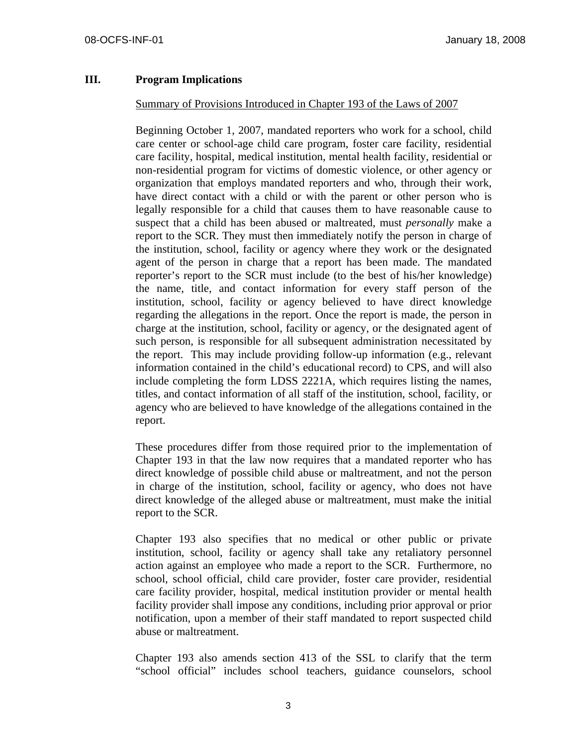#### **III. Program Implications**

#### Summary of Provisions Introduced in Chapter 193 of the Laws of 2007

Beginning October 1, 2007, mandated reporters who work for a school, child care center or school-age child care program, foster care facility, residential care facility, hospital, medical institution, mental health facility, residential or non-residential program for victims of domestic violence, or other agency or organization that employs mandated reporters and who, through their work, have direct contact with a child or with the parent or other person who is legally responsible for a child that causes them to have reasonable cause to suspect that a child has been abused or maltreated, must *personally* make a report to the SCR. They must then immediately notify the person in charge of the institution, school, facility or agency where they work or the designated agent of the person in charge that a report has been made. The mandated reporter's report to the SCR must include (to the best of his/her knowledge) the name, title, and contact information for every staff person of the institution, school, facility or agency believed to have direct knowledge regarding the allegations in the report. Once the report is made, the person in charge at the institution, school, facility or agency, or the designated agent of such person, is responsible for all subsequent administration necessitated by the report. This may include providing follow-up information (e.g., relevant information contained in the child's educational record) to CPS, and will also include completing the form LDSS 2221A, which requires listing the names, titles, and contact information of all staff of the institution, school, facility, or agency who are believed to have knowledge of the allegations contained in the report.

These procedures differ from those required prior to the implementation of Chapter 193 in that the law now requires that a mandated reporter who has direct knowledge of possible child abuse or maltreatment, and not the person in charge of the institution, school, facility or agency, who does not have direct knowledge of the alleged abuse or maltreatment, must make the initial report to the SCR.

Chapter 193 also specifies that no medical or other public or private institution, school, facility or agency shall take any retaliatory personnel action against an employee who made a report to the SCR. Furthermore, no school, school official, child care provider, foster care provider, residential care facility provider, hospital, medical institution provider or mental health facility provider shall impose any conditions, including prior approval or prior notification, upon a member of their staff mandated to report suspected child abuse or maltreatment.

Chapter 193 also amends section 413 of the SSL to clarify that the term "school official" includes school teachers, guidance counselors, school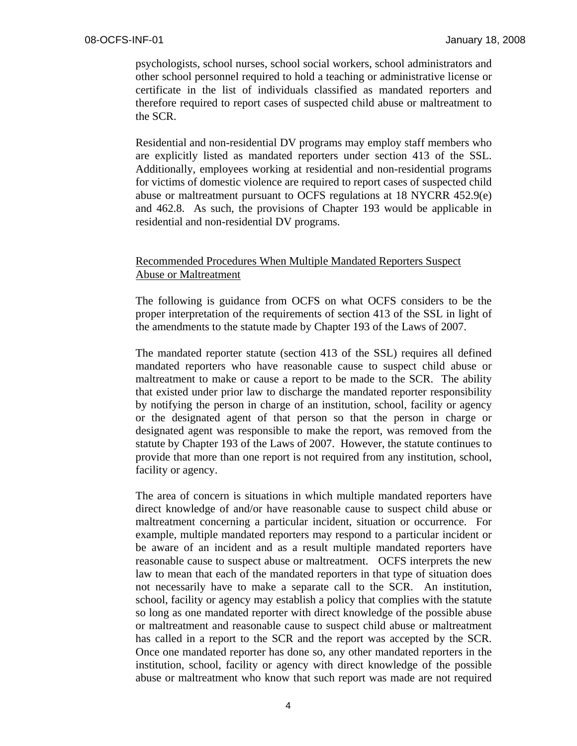psychologists, school nurses, school social workers, school administrators and other school personnel required to hold a teaching or administrative license or certificate in the list of individuals classified as mandated reporters and therefore required to report cases of suspected child abuse or maltreatment to the SCR.

Residential and non-residential DV programs may employ staff members who are explicitly listed as mandated reporters under section 413 of the SSL. Additionally, employees working at residential and non-residential programs for victims of domestic violence are required to report cases of suspected child abuse or maltreatment pursuant to OCFS regulations at 18 NYCRR 452.9(e) and 462.8. As such, the provisions of Chapter 193 would be applicable in residential and non-residential DV programs.

### Recommended Procedures When Multiple Mandated Reporters Suspect Abuse or Maltreatment

The following is guidance from OCFS on what OCFS considers to be the proper interpretation of the requirements of section 413 of the SSL in light of the amendments to the statute made by Chapter 193 of the Laws of 2007.

The mandated reporter statute (section 413 of the SSL) requires all defined mandated reporters who have reasonable cause to suspect child abuse or maltreatment to make or cause a report to be made to the SCR. The ability that existed under prior law to discharge the mandated reporter responsibility by notifying the person in charge of an institution, school, facility or agency or the designated agent of that person so that the person in charge or designated agent was responsible to make the report, was removed from the statute by Chapter 193 of the Laws of 2007. However, the statute continues to provide that more than one report is not required from any institution, school, facility or agency.

The area of concern is situations in which multiple mandated reporters have direct knowledge of and/or have reasonable cause to suspect child abuse or maltreatment concerning a particular incident, situation or occurrence. For example, multiple mandated reporters may respond to a particular incident or be aware of an incident and as a result multiple mandated reporters have reasonable cause to suspect abuse or maltreatment. OCFS interprets the new law to mean that each of the mandated reporters in that type of situation does not necessarily have to make a separate call to the SCR. An institution, school, facility or agency may establish a policy that complies with the statute so long as one mandated reporter with direct knowledge of the possible abuse or maltreatment and reasonable cause to suspect child abuse or maltreatment has called in a report to the SCR and the report was accepted by the SCR. Once one mandated reporter has done so, any other mandated reporters in the institution, school, facility or agency with direct knowledge of the possible abuse or maltreatment who know that such report was made are not required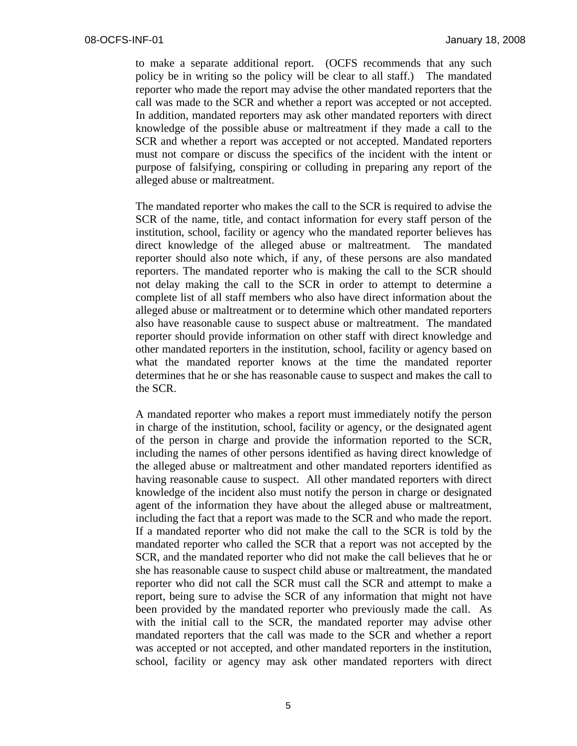to make a separate additional report. (OCFS recommends that any such policy be in writing so the policy will be clear to all staff.) The mandated reporter who made the report may advise the other mandated reporters that the call was made to the SCR and whether a report was accepted or not accepted. In addition, mandated reporters may ask other mandated reporters with direct knowledge of the possible abuse or maltreatment if they made a call to the SCR and whether a report was accepted or not accepted. Mandated reporters must not compare or discuss the specifics of the incident with the intent or purpose of falsifying, conspiring or colluding in preparing any report of the alleged abuse or maltreatment.

The mandated reporter who makes the call to the SCR is required to advise the SCR of the name, title, and contact information for every staff person of the institution, school, facility or agency who the mandated reporter believes has direct knowledge of the alleged abuse or maltreatment. The mandated reporter should also note which, if any, of these persons are also mandated reporters. The mandated reporter who is making the call to the SCR should not delay making the call to the SCR in order to attempt to determine a complete list of all staff members who also have direct information about the alleged abuse or maltreatment or to determine which other mandated reporters also have reasonable cause to suspect abuse or maltreatment. The mandated reporter should provide information on other staff with direct knowledge and other mandated reporters in the institution, school, facility or agency based on what the mandated reporter knows at the time the mandated reporter determines that he or she has reasonable cause to suspect and makes the call to the SCR.

A mandated reporter who makes a report must immediately notify the person in charge of the institution, school, facility or agency, or the designated agent of the person in charge and provide the information reported to the SCR, including the names of other persons identified as having direct knowledge of the alleged abuse or maltreatment and other mandated reporters identified as having reasonable cause to suspect. All other mandated reporters with direct knowledge of the incident also must notify the person in charge or designated agent of the information they have about the alleged abuse or maltreatment, including the fact that a report was made to the SCR and who made the report. If a mandated reporter who did not make the call to the SCR is told by the mandated reporter who called the SCR that a report was not accepted by the SCR, and the mandated reporter who did not make the call believes that he or she has reasonable cause to suspect child abuse or maltreatment, the mandated reporter who did not call the SCR must call the SCR and attempt to make a report, being sure to advise the SCR of any information that might not have been provided by the mandated reporter who previously made the call. As with the initial call to the SCR, the mandated reporter may advise other mandated reporters that the call was made to the SCR and whether a report was accepted or not accepted, and other mandated reporters in the institution, school, facility or agency may ask other mandated reporters with direct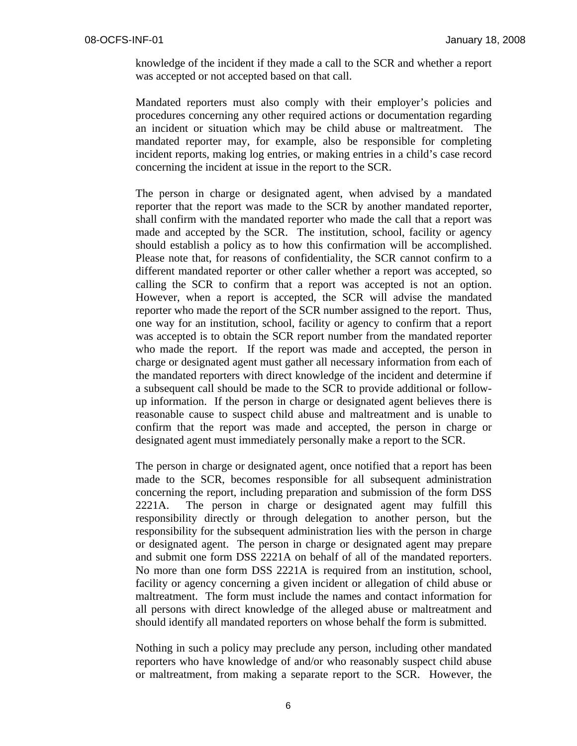knowledge of the incident if they made a call to the SCR and whether a report was accepted or not accepted based on that call.

Mandated reporters must also comply with their employer's policies and procedures concerning any other required actions or documentation regarding an incident or situation which may be child abuse or maltreatment. The mandated reporter may, for example, also be responsible for completing incident reports, making log entries, or making entries in a child's case record concerning the incident at issue in the report to the SCR.

The person in charge or designated agent, when advised by a mandated reporter that the report was made to the SCR by another mandated reporter, shall confirm with the mandated reporter who made the call that a report was made and accepted by the SCR. The institution, school, facility or agency should establish a policy as to how this confirmation will be accomplished. Please note that, for reasons of confidentiality, the SCR cannot confirm to a different mandated reporter or other caller whether a report was accepted, so calling the SCR to confirm that a report was accepted is not an option. However, when a report is accepted, the SCR will advise the mandated reporter who made the report of the SCR number assigned to the report. Thus, one way for an institution, school, facility or agency to confirm that a report was accepted is to obtain the SCR report number from the mandated reporter who made the report. If the report was made and accepted, the person in charge or designated agent must gather all necessary information from each of the mandated reporters with direct knowledge of the incident and determine if a subsequent call should be made to the SCR to provide additional or followup information. If the person in charge or designated agent believes there is reasonable cause to suspect child abuse and maltreatment and is unable to confirm that the report was made and accepted, the person in charge or designated agent must immediately personally make a report to the SCR.

The person in charge or designated agent, once notified that a report has been made to the SCR, becomes responsible for all subsequent administration concerning the report, including preparation and submission of the form DSS 2221A. The person in charge or designated agent may fulfill this responsibility directly or through delegation to another person, but the responsibility for the subsequent administration lies with the person in charge or designated agent. The person in charge or designated agent may prepare and submit one form DSS 2221A on behalf of all of the mandated reporters. No more than one form DSS 2221A is required from an institution, school, facility or agency concerning a given incident or allegation of child abuse or maltreatment. The form must include the names and contact information for all persons with direct knowledge of the alleged abuse or maltreatment and should identify all mandated reporters on whose behalf the form is submitted.

Nothing in such a policy may preclude any person, including other mandated reporters who have knowledge of and/or who reasonably suspect child abuse or maltreatment, from making a separate report to the SCR. However, the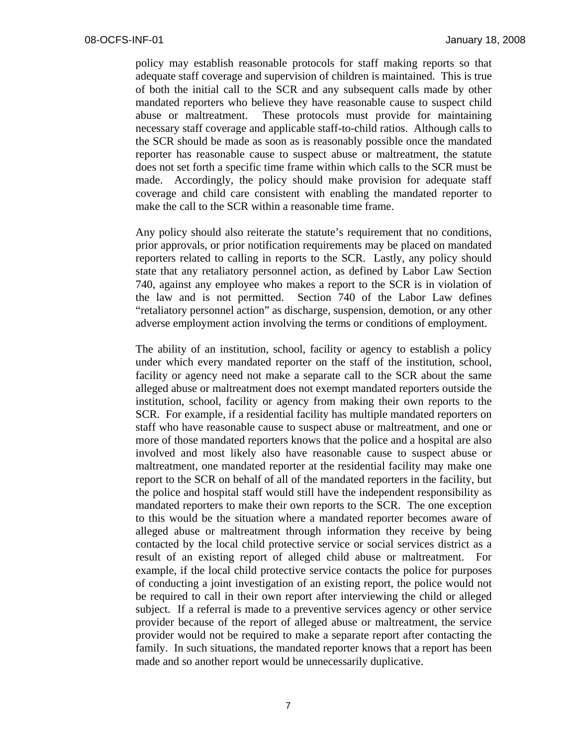policy may establish reasonable protocols for staff making reports so that adequate staff coverage and supervision of children is maintained. This is true of both the initial call to the SCR and any subsequent calls made by other mandated reporters who believe they have reasonable cause to suspect child abuse or maltreatment. These protocols must provide for maintaining necessary staff coverage and applicable staff-to-child ratios. Although calls to the SCR should be made as soon as is reasonably possible once the mandated reporter has reasonable cause to suspect abuse or maltreatment, the statute does not set forth a specific time frame within which calls to the SCR must be made. Accordingly, the policy should make provision for adequate staff coverage and child care consistent with enabling the mandated reporter to make the call to the SCR within a reasonable time frame.

Any policy should also reiterate the statute's requirement that no conditions, prior approvals, or prior notification requirements may be placed on mandated reporters related to calling in reports to the SCR. Lastly, any policy should state that any retaliatory personnel action, as defined by Labor Law Section 740, against any employee who makes a report to the SCR is in violation of the law and is not permitted. Section 740 of the Labor Law defines "retaliatory personnel action" as discharge, suspension, demotion, or any other adverse employment action involving the terms or conditions of employment.

The ability of an institution, school, facility or agency to establish a policy under which every mandated reporter on the staff of the institution, school, facility or agency need not make a separate call to the SCR about the same alleged abuse or maltreatment does not exempt mandated reporters outside the institution, school, facility or agency from making their own reports to the SCR. For example, if a residential facility has multiple mandated reporters on staff who have reasonable cause to suspect abuse or maltreatment, and one or more of those mandated reporters knows that the police and a hospital are also involved and most likely also have reasonable cause to suspect abuse or maltreatment, one mandated reporter at the residential facility may make one report to the SCR on behalf of all of the mandated reporters in the facility, but the police and hospital staff would still have the independent responsibility as mandated reporters to make their own reports to the SCR. The one exception to this would be the situation where a mandated reporter becomes aware of alleged abuse or maltreatment through information they receive by being contacted by the local child protective service or social services district as a result of an existing report of alleged child abuse or maltreatment. For example, if the local child protective service contacts the police for purposes of conducting a joint investigation of an existing report, the police would not be required to call in their own report after interviewing the child or alleged subject. If a referral is made to a preventive services agency or other service provider because of the report of alleged abuse or maltreatment, the service provider would not be required to make a separate report after contacting the family. In such situations, the mandated reporter knows that a report has been made and so another report would be unnecessarily duplicative.